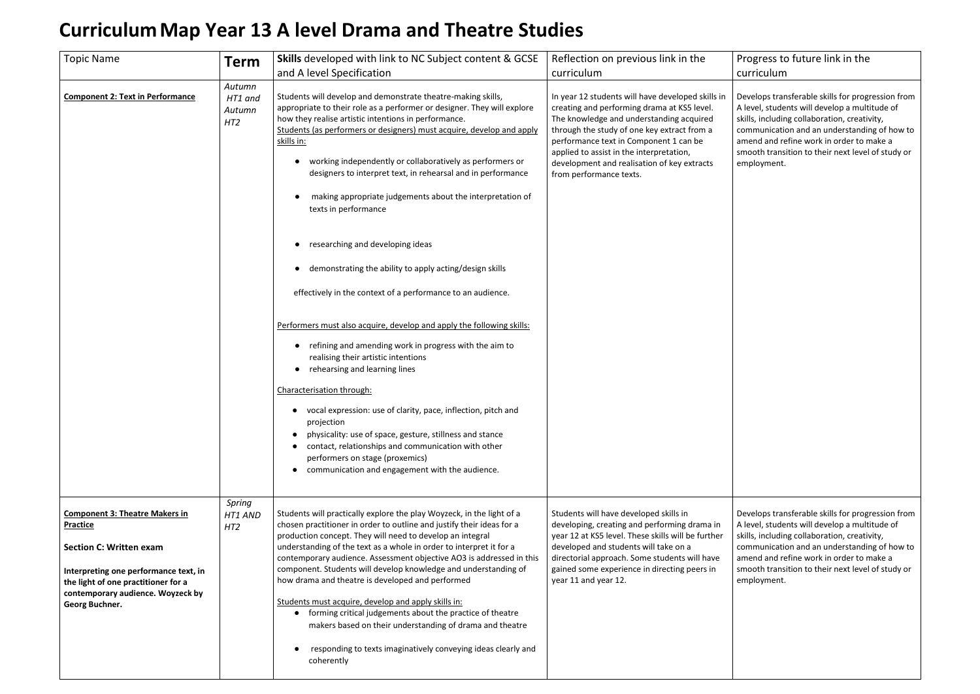## **CurriculumMap Year 13 A level Drama and Theatre Studies**

## Progress to future link in the curriculum

| <b>Topic Name</b>                                                                                                                                                                                                                 | <b>Term</b>                                    | <b>Skills</b> developed with link to NC Subject content & GCSE<br>and A level Specification                                                                                                                                                                                                                                                                                                                                                                                                                                                                                                                                                                                                                                                                                                                                                                                                                                                                                                                                                                                                                                                                                                                                      | Reflection on previous link in the<br>curriculum                                                                                                                                                                                                                                                                                                            |
|-----------------------------------------------------------------------------------------------------------------------------------------------------------------------------------------------------------------------------------|------------------------------------------------|----------------------------------------------------------------------------------------------------------------------------------------------------------------------------------------------------------------------------------------------------------------------------------------------------------------------------------------------------------------------------------------------------------------------------------------------------------------------------------------------------------------------------------------------------------------------------------------------------------------------------------------------------------------------------------------------------------------------------------------------------------------------------------------------------------------------------------------------------------------------------------------------------------------------------------------------------------------------------------------------------------------------------------------------------------------------------------------------------------------------------------------------------------------------------------------------------------------------------------|-------------------------------------------------------------------------------------------------------------------------------------------------------------------------------------------------------------------------------------------------------------------------------------------------------------------------------------------------------------|
| <b>Component 2: Text in Performance</b>                                                                                                                                                                                           | Autumn<br>HT1 and<br>Autumn<br>HT <sub>2</sub> | Students will develop and demonstrate theatre-making skills,<br>appropriate to their role as a performer or designer. They will explore<br>how they realise artistic intentions in performance.<br>Students (as performers or designers) must acquire, develop and apply<br>skills in:<br>working independently or collaboratively as performers or<br>$\bullet$<br>designers to interpret text, in rehearsal and in performance<br>making appropriate judgements about the interpretation of<br>texts in performance<br>researching and developing ideas<br>demonstrating the ability to apply acting/design skills<br>effectively in the context of a performance to an audience.<br>Performers must also acquire, develop and apply the following skills:<br>refining and amending work in progress with the aim to<br>realising their artistic intentions<br>rehearsing and learning lines<br>Characterisation through:<br>vocal expression: use of clarity, pace, inflection, pitch and<br>projection<br>physicality: use of space, gesture, stillness and stance<br>contact, relationships and communication with other<br>performers on stage (proxemics)<br>communication and engagement with the audience.<br>$\bullet$ | In year 12 students will have developed skills in<br>creating and performing drama at KS5 level.<br>The knowledge and understanding acquired<br>through the study of one key extract from a<br>performance text in Component 1 can be<br>applied to assist in the interpretation,<br>development and realisation of key extracts<br>from performance texts. |
| <b>Component 3: Theatre Makers in</b><br><b>Practice</b><br><b>Section C: Written exam</b><br>Interpreting one performance text, in<br>the light of one practitioner for a<br>contemporary audience. Woyzeck by<br>Georg Buchner. | Spring<br>HT1 AND<br>HT <sub>2</sub>           | Students will practically explore the play Woyzeck, in the light of a<br>chosen practitioner in order to outline and justify their ideas for a<br>production concept. They will need to develop an integral<br>understanding of the text as a whole in order to interpret it for a<br>contemporary audience. Assessment objective AO3 is addressed in this<br>component. Students will develop knowledge and understanding of<br>how drama and theatre is developed and performed<br>Students must acquire, develop and apply skills in:<br>• forming critical judgements about the practice of theatre<br>makers based on their understanding of drama and theatre<br>responding to texts imaginatively conveying ideas clearly and<br>coherently                                                                                                                                                                                                                                                                                                                                                                                                                                                                               | Students will have developed skills in<br>developing, creating and performing drama in<br>year 12 at KS5 level. These skills will be further<br>developed and students will take on a<br>directorial approach. Some students will have<br>gained some experience in directing peers in<br>year 11 and year 12.                                              |

Develops transferable skills for progression from A level, students will develop a multitude of skills, including collaboration, creativity, communication and an understanding of how to amend and refine work in order to make a smooth transition to their next level of study or employment.

Develops transferable skills for progression from A level, students will develop a multitude of skills, including collaboration, creativity, communication and an understanding of how to amend and refine work in order to make a smooth transition to their next level of study or employment.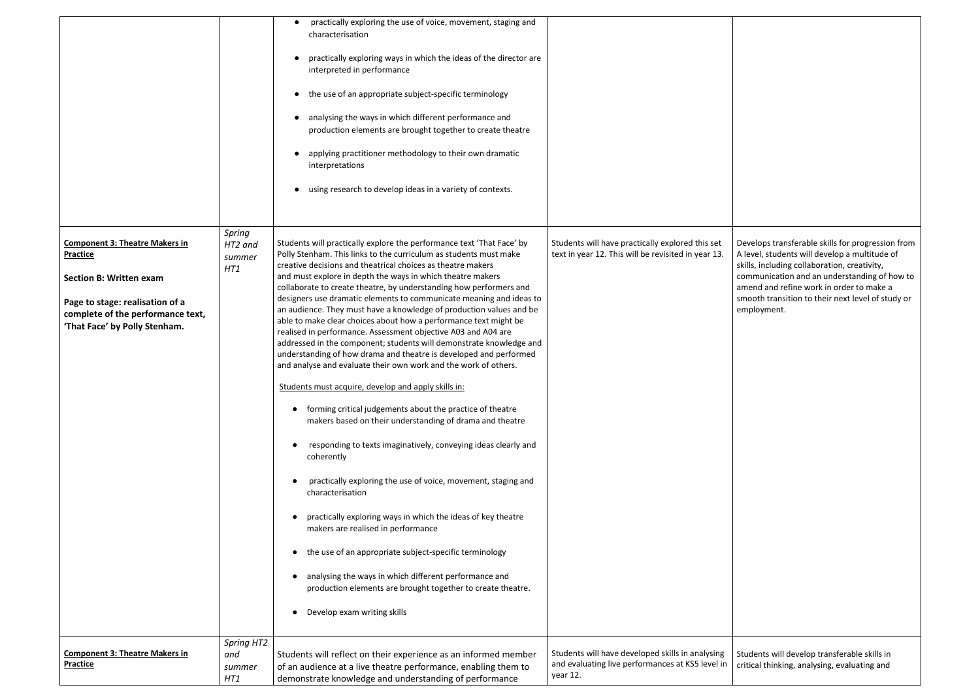|                                                                                                                                                                                                     |                                    | practically exploring the use of voice, movement, staging and<br>characterisation<br>practically exploring ways in which the ideas of the director are<br>interpreted in performance<br>the use of an appropriate subject-specific terminology<br>analysing the ways in which different performance and<br>production elements are brought together to create theatre<br>applying practitioner methodology to their own dramatic<br>interpretations<br>using research to develop ideas in a variety of contexts.                                                                                                                                                                                                                                                                                                                                                                                                                                                                                                                                                                                                                                                                                                                                                                                                                                                                                                                                                                                                            |                                                                                                                  |
|-----------------------------------------------------------------------------------------------------------------------------------------------------------------------------------------------------|------------------------------------|-----------------------------------------------------------------------------------------------------------------------------------------------------------------------------------------------------------------------------------------------------------------------------------------------------------------------------------------------------------------------------------------------------------------------------------------------------------------------------------------------------------------------------------------------------------------------------------------------------------------------------------------------------------------------------------------------------------------------------------------------------------------------------------------------------------------------------------------------------------------------------------------------------------------------------------------------------------------------------------------------------------------------------------------------------------------------------------------------------------------------------------------------------------------------------------------------------------------------------------------------------------------------------------------------------------------------------------------------------------------------------------------------------------------------------------------------------------------------------------------------------------------------------|------------------------------------------------------------------------------------------------------------------|
| <b>Component 3: Theatre Makers in</b><br><b>Practice</b><br><b>Section B: Written exam</b><br>Page to stage: realisation of a<br>complete of the performance text,<br>'That Face' by Polly Stenham. | Spring<br>HT2 and<br>summer<br>HT1 | Students will practically explore the performance text 'That Face' by<br>Polly Stenham. This links to the curriculum as students must make<br>creative decisions and theatrical choices as theatre makers<br>and must explore in depth the ways in which theatre makers<br>collaborate to create theatre, by understanding how performers and<br>designers use dramatic elements to communicate meaning and ideas to<br>an audience. They must have a knowledge of production values and be<br>able to make clear choices about how a performance text might be<br>realised in performance. Assessment objective A03 and A04 are<br>addressed in the component; students will demonstrate knowledge and<br>understanding of how drama and theatre is developed and performed<br>and analyse and evaluate their own work and the work of others.<br>Students must acquire, develop and apply skills in:<br>forming critical judgements about the practice of theatre<br>makers based on their understanding of drama and theatre<br>responding to texts imaginatively, conveying ideas clearly and<br>coherently<br>practically exploring the use of voice, movement, staging and<br>characterisation<br>practically exploring ways in which the ideas of key theatre<br>makers are realised in performance<br>the use of an appropriate subject-specific terminology<br>analysing the ways in which different performance and<br>production elements are brought together to create theatre.<br>Develop exam writing skills | Students will have practically explored this set<br>text in year 12. This will be revisited in year 13.          |
| <b>Component 3: Theatre Makers in</b><br><b>Practice</b>                                                                                                                                            | Spring HT2<br>and<br>summer<br>HT1 | Students will reflect on their experience as an informed member<br>of an audience at a live theatre performance, enabling them to<br>demonstrate knowledge and understanding of performance                                                                                                                                                                                                                                                                                                                                                                                                                                                                                                                                                                                                                                                                                                                                                                                                                                                                                                                                                                                                                                                                                                                                                                                                                                                                                                                                 | Students will have developed skills in analysing<br>and evaluating live performances at KS5 level in<br>year 12. |

Develops transferable skills for progression from A level, students will develop a multitude of skills, including collaboration, creativity, communication and an understanding of how to amend and refine work in order to make a smooth transition to their next level of study or employment.

Students will develop transferable skills in critical thinking, analysing, evaluating and